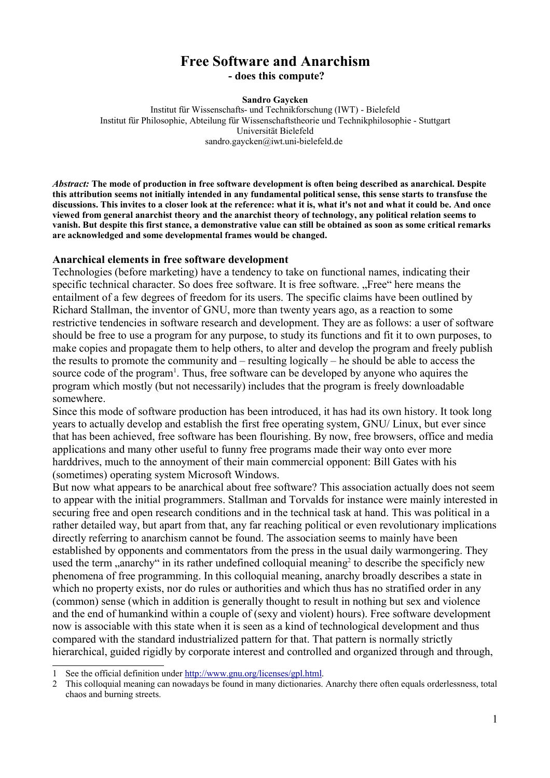# **Free Software and Anarchism - does this compute?**

#### **Sandro Gaycken**

Institut für Wissenschafts- und Technikforschung (IWT) - Bielefeld Institut für Philosophie, Abteilung für Wissenschaftstheorie und Technikphilosophie - Stuttgart Universität Bielefeld sandro.gaycken@iwt.uni-bielefeld.de

*Abstract:* **The mode of production in free software development is often being described as anarchical. Despite this attribution seems not initially intended in any fundamental political sense, this sense starts to transfuse the discussions. This invites to a closer look at the reference: what it is, what it's not and what it could be. And once viewed from general anarchist theory and the anarchist theory of technology, any political relation seems to vanish. But despite this first stance, a demonstrative value can still be obtained as soon as some critical remarks are acknowledged and some developmental frames would be changed.**

#### **Anarchical elements in free software development**

Technologies (before marketing) have a tendency to take on functional names, indicating their specific technical character. So does free software. It is free software. "Free" here means the entailment of a few degrees of freedom for its users. The specific claims have been outlined by Richard Stallman, the inventor of GNU, more than twenty years ago, as a reaction to some restrictive tendencies in software research and development. They are as follows: a user of software should be free to use a program for any purpose, to study its functions and fit it to own purposes, to make copies and propagate them to help others, to alter and develop the program and freely publish the results to promote the community and – resulting logically – he should be able to access the source code of the program<sup>1</sup>. Thus, free software can be developed by anyone who aquires the program which mostly (but not necessarily) includes that the program is freely downloadable somewhere.

Since this mode of software production has been introduced, it has had its own history. It took long years to actually develop and establish the first free operating system, GNU/ Linux, but ever since that has been achieved, free software has been flourishing. By now, free browsers, office and media applications and many other useful to funny free programs made their way onto ever more harddrives, much to the annoyment of their main commercial opponent: Bill Gates with his (sometimes) operating system Microsoft Windows.

But now what appears to be anarchical about free software? This association actually does not seem to appear with the initial programmers. Stallman and Torvalds for instance were mainly interested in securing free and open research conditions and in the technical task at hand. This was political in a rather detailed way, but apart from that, any far reaching political or even revolutionary implications directly referring to anarchism cannot be found. The association seems to mainly have been established by opponents and commentators from the press in the usual daily warmongering. They used the term "anarchy" in its rather undefined colloquial meaning<sup>2</sup> to describe the specificly new phenomena of free programming. In this colloquial meaning, anarchy broadly describes a state in which no property exists, nor do rules or authorities and which thus has no stratified order in any (common) sense (which in addition is generally thought to result in nothing but sex and violence and the end of humankind within a couple of (sexy and violent) hours). Free software development now is associable with this state when it is seen as a kind of technological development and thus compared with the standard industrialized pattern for that. That pattern is normally strictly hierarchical, guided rigidly by corporate interest and controlled and organized through and through,

<sup>1</sup> See the official definition under http://www.gnu.org/licenses/gpl.html.

<sup>2</sup> This colloquial meaning can nowadays be found in many dictionaries. Anarchy there often equals orderlessness, total chaos and burning streets.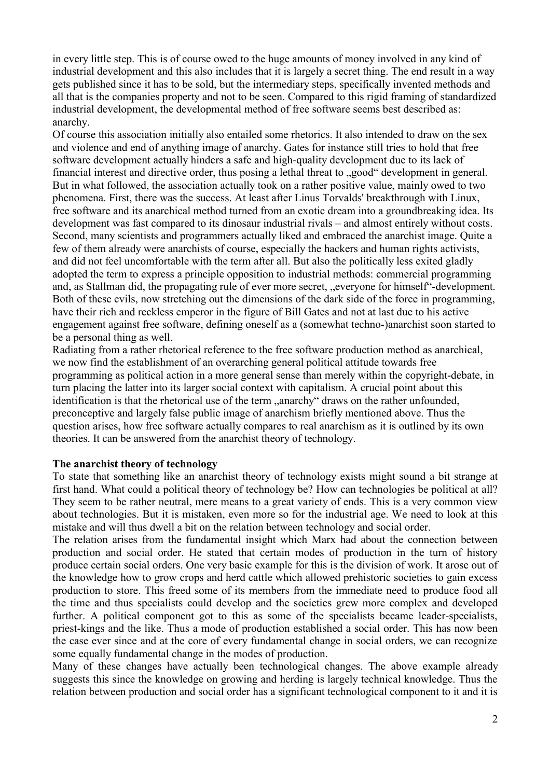in every little step. This is of course owed to the huge amounts of money involved in any kind of industrial development and this also includes that it is largely a secret thing. The end result in a way gets published since it has to be sold, but the intermediary steps, specifically invented methods and all that is the companies property and not to be seen. Compared to this rigid framing of standardized industrial development, the developmental method of free software seems best described as: anarchy.

Of course this association initially also entailed some rhetorics. It also intended to draw on the sex and violence and end of anything image of anarchy. Gates for instance still tries to hold that free software development actually hinders a safe and high-quality development due to its lack of financial interest and directive order, thus posing a lethal threat to "good" development in general. But in what followed, the association actually took on a rather positive value, mainly owed to two phenomena. First, there was the success. At least after Linus Torvalds' breakthrough with Linux, free software and its anarchical method turned from an exotic dream into a groundbreaking idea. Its development was fast compared to its dinosaur industrial rivals – and almost entirely without costs. Second, many scientists and programmers actually liked and embraced the anarchist image. Quite a few of them already were anarchists of course, especially the hackers and human rights activists, and did not feel uncomfortable with the term after all. But also the politically less exited gladly adopted the term to express a principle opposition to industrial methods: commercial programming and, as Stallman did, the propagating rule of ever more secret, "everyone for himself"-development. Both of these evils, now stretching out the dimensions of the dark side of the force in programming, have their rich and reckless emperor in the figure of Bill Gates and not at last due to his active engagement against free software, defining oneself as a (somewhat techno-)anarchist soon started to be a personal thing as well.

Radiating from a rather rhetorical reference to the free software production method as anarchical, we now find the establishment of an overarching general political attitude towards free programming as political action in a more general sense than merely within the copyright-debate, in turn placing the latter into its larger social context with capitalism. A crucial point about this identification is that the rhetorical use of the term ..anarchy draws on the rather unfounded, preconceptive and largely false public image of anarchism briefly mentioned above. Thus the question arises, how free software actually compares to real anarchism as it is outlined by its own theories. It can be answered from the anarchist theory of technology.

### **The anarchist theory of technology**

To state that something like an anarchist theory of technology exists might sound a bit strange at first hand. What could a political theory of technology be? How can technologies be political at all? They seem to be rather neutral, mere means to a great variety of ends. This is a very common view about technologies. But it is mistaken, even more so for the industrial age. We need to look at this mistake and will thus dwell a bit on the relation between technology and social order.

The relation arises from the fundamental insight which Marx had about the connection between production and social order. He stated that certain modes of production in the turn of history produce certain social orders. One very basic example for this is the division of work. It arose out of the knowledge how to grow crops and herd cattle which allowed prehistoric societies to gain excess production to store. This freed some of its members from the immediate need to produce food all the time and thus specialists could develop and the societies grew more complex and developed further. A political component got to this as some of the specialists became leader-specialists, priest-kings and the like. Thus a mode of production established a social order. This has now been the case ever since and at the core of every fundamental change in social orders, we can recognize some equally fundamental change in the modes of production.

Many of these changes have actually been technological changes. The above example already suggests this since the knowledge on growing and herding is largely technical knowledge. Thus the relation between production and social order has a significant technological component to it and it is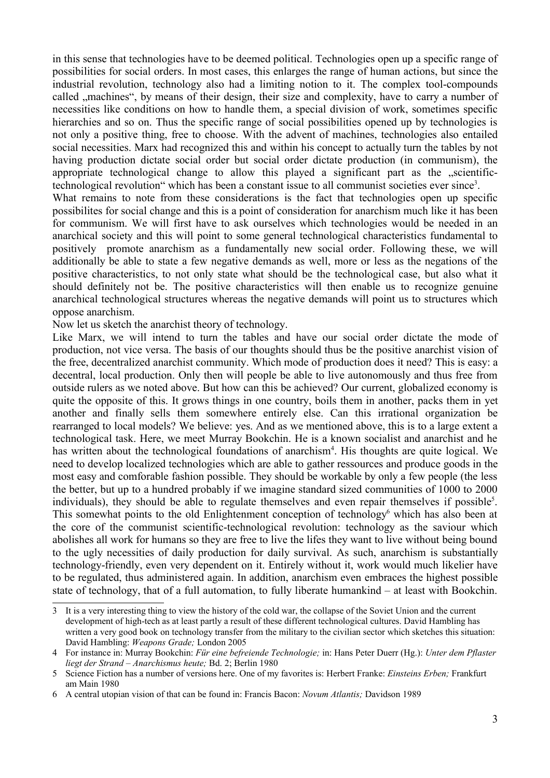in this sense that technologies have to be deemed political. Technologies open up a specific range of possibilities for social orders. In most cases, this enlarges the range of human actions, but since the industrial revolution, technology also had a limiting notion to it. The complex tool-compounds called "machines", by means of their design, their size and complexity, have to carry a number of necessities like conditions on how to handle them, a special division of work, sometimes specific hierarchies and so on. Thus the specific range of social possibilities opened up by technologies is not only a positive thing, free to choose. With the advent of machines, technologies also entailed social necessities. Marx had recognized this and within his concept to actually turn the tables by not having production dictate social order but social order dictate production (in communism), the appropriate technological change to allow this played a significant part as the socientifictechnological revolution" which has been a constant issue to all communist societies ever since<sup>3</sup>.

What remains to note from these considerations is the fact that technologies open up specific possibilites for social change and this is a point of consideration for anarchism much like it has been for communism. We will first have to ask ourselves which technologies would be needed in an anarchical society and this will point to some general technological characteristics fundamental to positively promote anarchism as a fundamentally new social order. Following these, we will additionally be able to state a few negative demands as well, more or less as the negations of the positive characteristics, to not only state what should be the technological case, but also what it should definitely not be. The positive characteristics will then enable us to recognize genuine anarchical technological structures whereas the negative demands will point us to structures which oppose anarchism.

Now let us sketch the anarchist theory of technology.

Like Marx, we will intend to turn the tables and have our social order dictate the mode of production, not vice versa. The basis of our thoughts should thus be the positive anarchist vision of the free, decentralized anarchist community. Which mode of production does it need? This is easy: a decentral, local production. Only then will people be able to live autonomously and thus free from outside rulers as we noted above. But how can this be achieved? Our current, globalized economy is quite the opposite of this. It grows things in one country, boils them in another, packs them in yet another and finally sells them somewhere entirely else. Can this irrational organization be rearranged to local models? We believe: yes. And as we mentioned above, this is to a large extent a technological task. Here, we meet Murray Bookchin. He is a known socialist and anarchist and he has written about the technological foundations of anarchism<sup>4</sup>. His thoughts are quite logical. We need to develop localized technologies which are able to gather ressources and produce goods in the most easy and comforable fashion possible. They should be workable by only a few people (the less the better, but up to a hundred probably if we imagine standard sized communities of 1000 to 2000 individuals), they should be able to regulate themselves and even repair themselves if possible<sup>5</sup>. This somewhat points to the old Enlightenment conception of technology<sup>6</sup> which has also been at the core of the communist scientific-technological revolution: technology as the saviour which abolishes all work for humans so they are free to live the lifes they want to live without being bound to the ugly necessities of daily production for daily survival. As such, anarchism is substantially technology-friendly, even very dependent on it. Entirely without it, work would much likelier have to be regulated, thus administered again. In addition, anarchism even embraces the highest possible state of technology, that of a full automation, to fully liberate humankind – at least with Bookchin.

<sup>3</sup> It is a very interesting thing to view the history of the cold war, the collapse of the Soviet Union and the current development of high-tech as at least partly a result of these different technological cultures. David Hambling has written a very good book on technology transfer from the military to the civilian sector which sketches this situation: David Hambling: *Weapons Grade;* London 2005

<sup>4</sup> For instance in: Murray Bookchin: *Für eine befreiende Technologie;* in: Hans Peter Duerr (Hg.): *Unter dem Pflaster liegt der Strand – Anarchismus heute;* Bd. 2; Berlin 1980

<sup>5</sup> Science Fiction has a number of versions here. One of my favorites is: Herbert Franke: *Einsteins Erben;* Frankfurt am Main 1980

<sup>6</sup> A central utopian vision of that can be found in: Francis Bacon: *Novum Atlantis;* Davidson 1989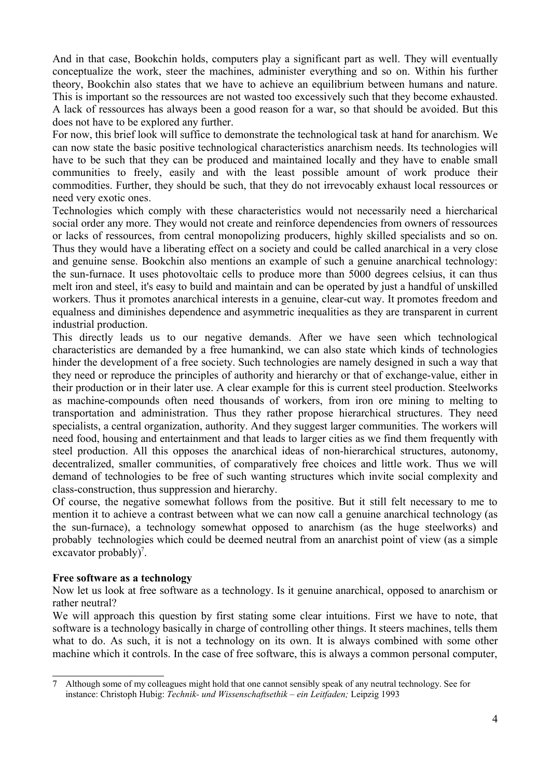And in that case, Bookchin holds, computers play a significant part as well. They will eventually conceptualize the work, steer the machines, administer everything and so on. Within his further theory, Bookchin also states that we have to achieve an equilibrium between humans and nature. This is important so the ressources are not wasted too excessively such that they become exhausted. A lack of ressources has always been a good reason for a war, so that should be avoided. But this does not have to be explored any further.

For now, this brief look will suffice to demonstrate the technological task at hand for anarchism. We can now state the basic positive technological characteristics anarchism needs. Its technologies will have to be such that they can be produced and maintained locally and they have to enable small communities to freely, easily and with the least possible amount of work produce their commodities. Further, they should be such, that they do not irrevocably exhaust local ressources or need very exotic ones.

Technologies which comply with these characteristics would not necessarily need a hiercharical social order any more. They would not create and reinforce dependencies from owners of ressources or lacks of ressources, from central monopolizing producers, highly skilled specialists and so on. Thus they would have a liberating effect on a society and could be called anarchical in a very close and genuine sense. Bookchin also mentions an example of such a genuine anarchical technology: the sun-furnace. It uses photovoltaic cells to produce more than 5000 degrees celsius, it can thus melt iron and steel, it's easy to build and maintain and can be operated by just a handful of unskilled workers. Thus it promotes anarchical interests in a genuine, clear-cut way. It promotes freedom and equalness and diminishes dependence and asymmetric inequalities as they are transparent in current industrial production.

This directly leads us to our negative demands. After we have seen which technological characteristics are demanded by a free humankind, we can also state which kinds of technologies hinder the development of a free society. Such technologies are namely designed in such a way that they need or reproduce the principles of authority and hierarchy or that of exchange-value, either in their production or in their later use. A clear example for this is current steel production. Steelworks as machine-compounds often need thousands of workers, from iron ore mining to melting to transportation and administration. Thus they rather propose hierarchical structures. They need specialists, a central organization, authority. And they suggest larger communities. The workers will need food, housing and entertainment and that leads to larger cities as we find them frequently with steel production. All this opposes the anarchical ideas of non-hierarchical structures, autonomy, decentralized, smaller communities, of comparatively free choices and little work. Thus we will demand of technologies to be free of such wanting structures which invite social complexity and class-construction, thus suppression and hierarchy.

Of course, the negative somewhat follows from the positive. But it still felt necessary to me to mention it to achieve a contrast between what we can now call a genuine anarchical technology (as the sun-furnace), a technology somewhat opposed to anarchism (as the huge steelworks) and probably technologies which could be deemed neutral from an anarchist point of view (as a simple excavator probably)<sup>7</sup>.

# **Free software as a technology**

Now let us look at free software as a technology. Is it genuine anarchical, opposed to anarchism or rather neutral?

We will approach this question by first stating some clear intuitions. First we have to note, that software is a technology basically in charge of controlling other things. It steers machines, tells them what to do. As such, it is not a technology on its own. It is always combined with some other machine which it controls. In the case of free software, this is always a common personal computer,

<sup>7</sup> Although some of my colleagues might hold that one cannot sensibly speak of any neutral technology. See for instance: Christoph Hubig: *Technik- und Wissenschaftsethik – ein Leitfaden;* Leipzig 1993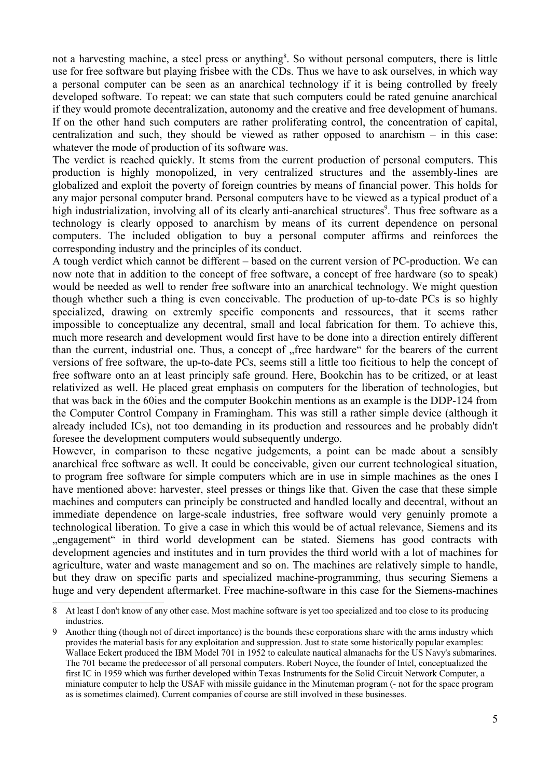not a harvesting machine, a steel press or anything<sup>8</sup>. So without personal computers, there is little use for free software but playing frisbee with the CDs. Thus we have to ask ourselves, in which way a personal computer can be seen as an anarchical technology if it is being controlled by freely developed software. To repeat: we can state that such computers could be rated genuine anarchical if they would promote decentralization, autonomy and the creative and free development of humans. If on the other hand such computers are rather proliferating control, the concentration of capital, centralization and such, they should be viewed as rather opposed to anarchism – in this case: whatever the mode of production of its software was.

The verdict is reached quickly. It stems from the current production of personal computers. This production is highly monopolized, in very centralized structures and the assembly-lines are globalized and exploit the poverty of foreign countries by means of financial power. This holds for any major personal computer brand. Personal computers have to be viewed as a typical product of a high industrialization, involving all of its clearly anti-anarchical structures<sup>9</sup>. Thus free software as a technology is clearly opposed to anarchism by means of its current dependence on personal computers. The included obligation to buy a personal computer affirms and reinforces the corresponding industry and the principles of its conduct.

A tough verdict which cannot be different – based on the current version of PC-production. We can now note that in addition to the concept of free software, a concept of free hardware (so to speak) would be needed as well to render free software into an anarchical technology. We might question though whether such a thing is even conceivable. The production of up-to-date PCs is so highly specialized, drawing on extremly specific components and ressources, that it seems rather impossible to conceptualize any decentral, small and local fabrication for them. To achieve this, much more research and development would first have to be done into a direction entirely different than the current, industrial one. Thus, a concept of "free hardware" for the bearers of the current versions of free software, the up-to-date PCs, seems still a little too ficitious to help the concept of free software onto an at least principly safe ground. Here, Bookchin has to be critized, or at least relativized as well. He placed great emphasis on computers for the liberation of technologies, but that was back in the 60ies and the computer Bookchin mentions as an example is the DDP-124 from the Computer Control Company in Framingham. This was still a rather simple device (although it already included ICs), not too demanding in its production and ressources and he probably didn't foresee the development computers would subsequently undergo.

However, in comparison to these negative judgements, a point can be made about a sensibly anarchical free software as well. It could be conceivable, given our current technological situation, to program free software for simple computers which are in use in simple machines as the ones I have mentioned above: harvester, steel presses or things like that. Given the case that these simple machines and computers can principly be constructed and handled locally and decentral, without an immediate dependence on large-scale industries, free software would very genuinly promote a technological liberation. To give a case in which this would be of actual relevance, Siemens and its "engagement" in third world development can be stated. Siemens has good contracts with development agencies and institutes and in turn provides the third world with a lot of machines for agriculture, water and waste management and so on. The machines are relatively simple to handle, but they draw on specific parts and specialized machine-programming, thus securing Siemens a huge and very dependent aftermarket. Free machine-software in this case for the Siemens-machines

<sup>8</sup> At least I don't know of any other case. Most machine software is yet too specialized and too close to its producing industries.

<sup>9</sup> Another thing (though not of direct importance) is the bounds these corporations share with the arms industry which provides the material basis for any exploitation and suppression. Just to state some historically popular examples: Wallace Eckert produced the IBM Model 701 in 1952 to calculate nautical almanachs for the US Navy's submarines. The 701 became the predecessor of all personal computers. Robert Noyce, the founder of Intel, conceptualized the first IC in 1959 which was further developed within Texas Instruments for the Solid Circuit Network Computer, a miniature computer to help the USAF with missile guidance in the Minuteman program (- not for the space program as is sometimes claimed). Current companies of course are still involved in these businesses.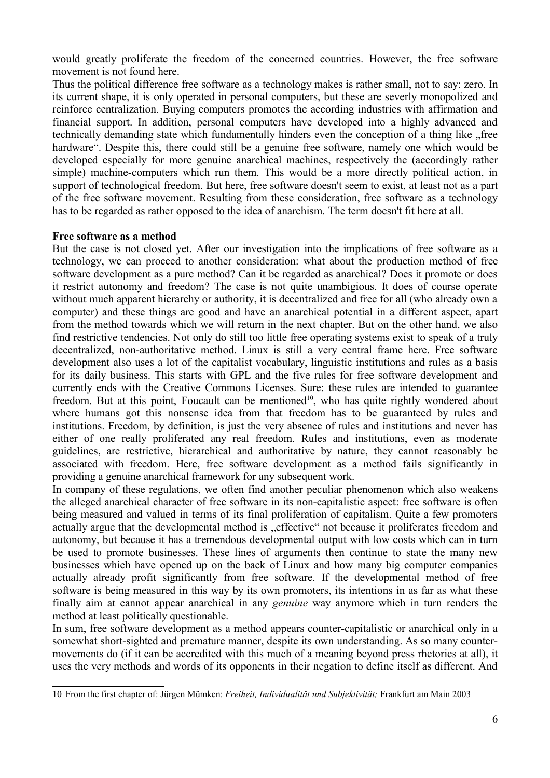would greatly proliferate the freedom of the concerned countries. However, the free software movement is not found here.

Thus the political difference free software as a technology makes is rather small, not to say: zero. In its current shape, it is only operated in personal computers, but these are severly monopolized and reinforce centralization. Buying computers promotes the according industries with affirmation and financial support. In addition, personal computers have developed into a highly advanced and technically demanding state which fundamentally hinders even the conception of a thing like free hardware". Despite this, there could still be a genuine free software, namely one which would be developed especially for more genuine anarchical machines, respectively the (accordingly rather simple) machine-computers which run them. This would be a more directly political action, in support of technological freedom. But here, free software doesn't seem to exist, at least not as a part of the free software movement. Resulting from these consideration, free software as a technology has to be regarded as rather opposed to the idea of anarchism. The term doesn't fit here at all.

# **Free software as a method**

But the case is not closed yet. After our investigation into the implications of free software as a technology, we can proceed to another consideration: what about the production method of free software development as a pure method? Can it be regarded as anarchical? Does it promote or does it restrict autonomy and freedom? The case is not quite unambigious. It does of course operate without much apparent hierarchy or authority, it is decentralized and free for all (who already own a computer) and these things are good and have an anarchical potential in a different aspect, apart from the method towards which we will return in the next chapter. But on the other hand, we also find restrictive tendencies. Not only do still too little free operating systems exist to speak of a truly decentralized, non-authoritative method. Linux is still a very central frame here. Free software development also uses a lot of the capitalist vocabulary, linguistic institutions and rules as a basis for its daily business. This starts with GPL and the five rules for free software development and currently ends with the Creative Commons Licenses. Sure: these rules are intended to guarantee freedom. But at this point, Foucault can be mentioned<sup>10</sup>, who has quite rightly wondered about where humans got this nonsense idea from that freedom has to be guaranteed by rules and institutions. Freedom, by definition, is just the very absence of rules and institutions and never has either of one really proliferated any real freedom. Rules and institutions, even as moderate guidelines, are restrictive, hierarchical and authoritative by nature, they cannot reasonably be associated with freedom. Here, free software development as a method fails significantly in providing a genuine anarchical framework for any subsequent work.

In company of these regulations, we often find another peculiar phenomenon which also weakens the alleged anarchical character of free software in its non-capitalistic aspect: free software is often being measured and valued in terms of its final proliferation of capitalism. Quite a few promoters actually argue that the developmental method is "effective" not because it proliferates freedom and autonomy, but because it has a tremendous developmental output with low costs which can in turn be used to promote businesses. These lines of arguments then continue to state the many new businesses which have opened up on the back of Linux and how many big computer companies actually already profit significantly from free software. If the developmental method of free software is being measured in this way by its own promoters, its intentions in as far as what these finally aim at cannot appear anarchical in any *genuine* way anymore which in turn renders the method at least politically questionable.

In sum, free software development as a method appears counter-capitalistic or anarchical only in a somewhat short-sighted and premature manner, despite its own understanding. As so many countermovements do (if it can be accredited with this much of a meaning beyond press rhetorics at all), it uses the very methods and words of its opponents in their negation to define itself as different. And

<sup>10</sup> From the first chapter of: Jürgen Mümken: *Freiheit, Individualität und Subjektivität;* Frankfurt am Main 2003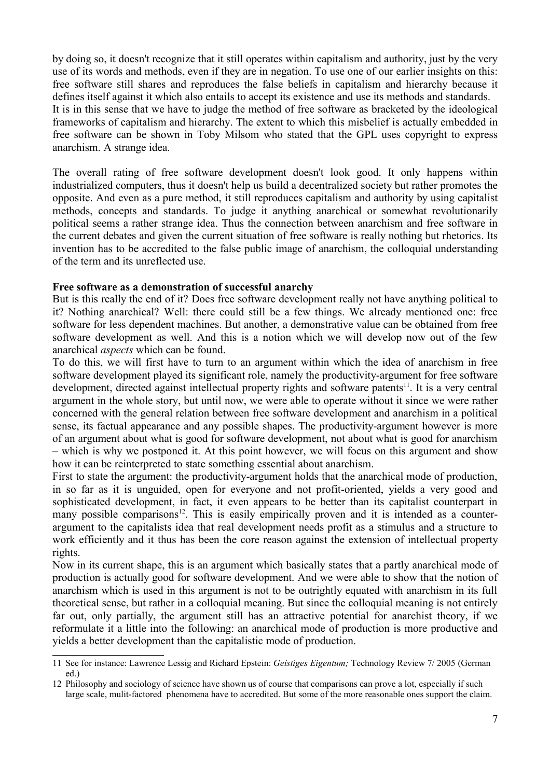by doing so, it doesn't recognize that it still operates within capitalism and authority, just by the very use of its words and methods, even if they are in negation. To use one of our earlier insights on this: free software still shares and reproduces the false beliefs in capitalism and hierarchy because it defines itself against it which also entails to accept its existence and use its methods and standards. It is in this sense that we have to judge the method of free software as bracketed by the ideological frameworks of capitalism and hierarchy. The extent to which this misbelief is actually embedded in free software can be shown in Toby Milsom who stated that the GPL uses copyright to express anarchism. A strange idea.

The overall rating of free software development doesn't look good. It only happens within industrialized computers, thus it doesn't help us build a decentralized society but rather promotes the opposite. And even as a pure method, it still reproduces capitalism and authority by using capitalist methods, concepts and standards. To judge it anything anarchical or somewhat revolutionarily political seems a rather strange idea. Thus the connection between anarchism and free software in the current debates and given the current situation of free software is really nothing but rhetorics. Its invention has to be accredited to the false public image of anarchism, the colloquial understanding of the term and its unreflected use.

# **Free software as a demonstration of successful anarchy**

But is this really the end of it? Does free software development really not have anything political to it? Nothing anarchical? Well: there could still be a few things. We already mentioned one: free software for less dependent machines. But another, a demonstrative value can be obtained from free software development as well. And this is a notion which we will develop now out of the few anarchical *aspects* which can be found.

To do this, we will first have to turn to an argument within which the idea of anarchism in free software development played its significant role, namely the productivity-argument for free software development, directed against intellectual property rights and software patents<sup>11</sup>. It is a very central argument in the whole story, but until now, we were able to operate without it since we were rather concerned with the general relation between free software development and anarchism in a political sense, its factual appearance and any possible shapes. The productivity-argument however is more of an argument about what is good for software development, not about what is good for anarchism – which is why we postponed it. At this point however, we will focus on this argument and show how it can be reinterpreted to state something essential about anarchism.

First to state the argument: the productivity-argument holds that the anarchical mode of production, in so far as it is unguided, open for everyone and not profit-oriented, yields a very good and sophisticated development, in fact, it even appears to be better than its capitalist counterpart in many possible comparisons<sup>12</sup>. This is easily empirically proven and it is intended as a counterargument to the capitalists idea that real development needs profit as a stimulus and a structure to work efficiently and it thus has been the core reason against the extension of intellectual property rights.

Now in its current shape, this is an argument which basically states that a partly anarchical mode of production is actually good for software development. And we were able to show that the notion of anarchism which is used in this argument is not to be outrightly equated with anarchism in its full theoretical sense, but rather in a colloquial meaning. But since the colloquial meaning is not entirely far out, only partially, the argument still has an attractive potential for anarchist theory, if we reformulate it a little into the following: an anarchical mode of production is more productive and yields a better development than the capitalistic mode of production.

<sup>11</sup> See for instance: Lawrence Lessig and Richard Epstein: *Geistiges Eigentum;* Technology Review 7/ 2005 (German ed.)

<sup>12</sup> Philosophy and sociology of science have shown us of course that comparisons can prove a lot, especially if such large scale, mulit-factored phenomena have to accredited. But some of the more reasonable ones support the claim.